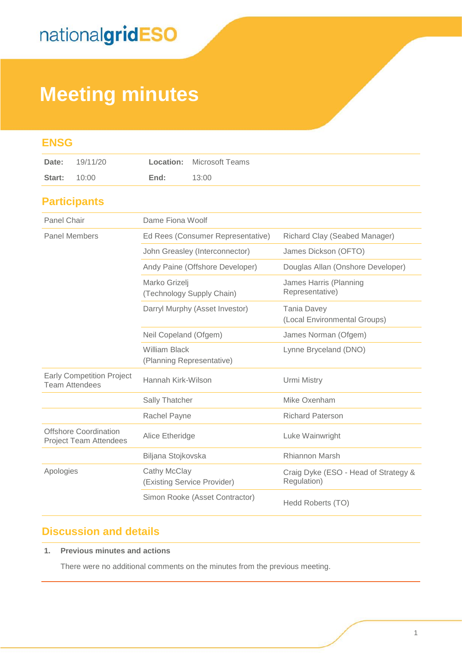# **Meeting minutes**

| <b>ENSG</b>                                                   |                     |                                                   |                        |                                                     |
|---------------------------------------------------------------|---------------------|---------------------------------------------------|------------------------|-----------------------------------------------------|
| Date:                                                         | 19/11/20            | Location:                                         | <b>Microsoft Teams</b> |                                                     |
| Start:                                                        | 10:00               | End:                                              | 13:00                  |                                                     |
|                                                               | <b>Participants</b> |                                                   |                        |                                                     |
| <b>Panel Chair</b>                                            |                     | Dame Fiona Woolf                                  |                        |                                                     |
| <b>Panel Members</b>                                          |                     | Ed Rees (Consumer Representative)                 |                        | Richard Clay (Seabed Manager)                       |
|                                                               |                     | John Greasley (Interconnector)                    |                        | James Dickson (OFTO)                                |
|                                                               |                     | Andy Paine (Offshore Developer)                   |                        | Douglas Allan (Onshore Developer)                   |
|                                                               |                     | Marko Grizelj<br>(Technology Supply Chain)        |                        | James Harris (Planning<br>Representative)           |
|                                                               |                     | Darryl Murphy (Asset Investor)                    |                        | <b>Tania Davey</b><br>(Local Environmental Groups)  |
|                                                               |                     | Neil Copeland (Ofgem)                             |                        | James Norman (Ofgem)                                |
|                                                               |                     | <b>William Black</b><br>(Planning Representative) |                        | Lynne Bryceland (DNO)                               |
| <b>Early Competition Project</b><br><b>Team Attendees</b>     |                     | Hannah Kirk-Wilson                                |                        | Urmi Mistry                                         |
|                                                               |                     | Sally Thatcher                                    |                        | Mike Oxenham                                        |
|                                                               |                     | Rachel Payne                                      |                        | <b>Richard Paterson</b>                             |
| <b>Offshore Coordination</b><br><b>Project Team Attendees</b> |                     | Alice Etheridge                                   |                        | Luke Wainwright                                     |
|                                                               |                     | Biljana Stojkovska                                |                        | <b>Rhiannon Marsh</b>                               |
| Apologies                                                     |                     | Cathy McClay<br>(Existing Service Provider)       |                        | Craig Dyke (ESO - Head of Strategy &<br>Regulation) |
|                                                               |                     | Simon Rooke (Asset Contractor)                    |                        | Hedd Roberts (TO)                                   |

### **Discussion and details**

#### **1. Previous minutes and actions**

There were no additional comments on the minutes from the previous meeting.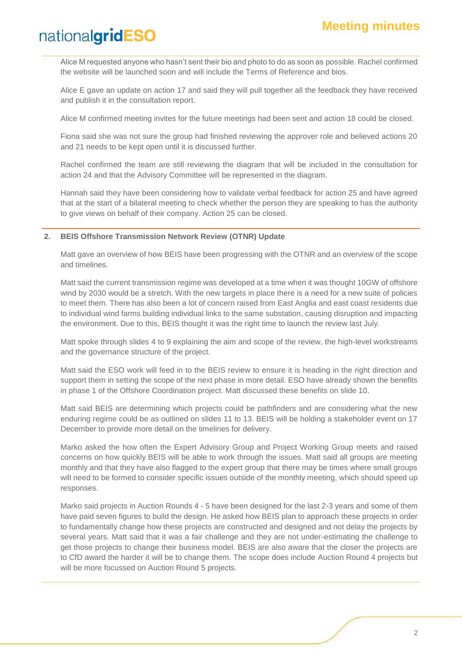Alice M requested anyone who hasn't sent their bio and photo to do as soon as possible. Rachel confirmed the website will be launched soon and will include the Terms of Reference and bios.

Alice E gave an update on action 17 and said they will pull together all the feedback they have received and publish it in the consultation report.

Alice M confirmed meeting invites for the future meetings had been sent and action 18 could be closed.

Fiona said she was not sure the group had finished reviewing the approver role and believed actions 20 and 21 needs to be kept open until it is discussed further.

Rachel confirmed the team are still reviewing the diagram that will be included in the consultation for action 24 and that the Advisory Committee will be represented in the diagram.

Hannah said they have been considering how to validate verbal feedback for action 25 and have agreed that at the start of a bilateral meeting to check whether the person they are speaking to has the authority to give views on behalf of their company. Action 25 can be closed.

#### **2. BEIS Offshore Transmission Network Review (OTNR) Update**

Matt gave an overview of how BEIS have been progressing with the OTNR and an overview of the scope and timelines.

Matt said the current transmission regime was developed at a time when it was thought 10GW of offshore wind by 2030 would be a stretch. With the new targets in place there is a need for a new suite of policies to meet them. There has also been a lot of concern raised from East Anglia and east coast residents due to individual wind farms building individual links to the same substation, causing disruption and impacting the environment. Due to this, BEIS thought it was the right time to launch the review last July.

Matt spoke through slides 4 to 9 explaining the aim and scope of the review, the high-level workstreams and the governance structure of the project.

Matt said the ESO work will feed in to the BEIS review to ensure it is heading in the right direction and support them in setting the scope of the next phase in more detail. ESO have already shown the benefits in phase 1 of the Offshore Coordination project. Matt discussed these benefits on slide 10.

Matt said BEIS are determining which projects could be pathfinders and are considering what the new enduring regime could be as outlined on slides 11 to 13. BEIS will be holding a stakeholder event on 17 December to provide more detail on the timelines for delivery.

Marko asked the how often the Expert Advisory Group and Project Working Group meets and raised concerns on how quickly BEIS will be able to work through the issues. Matt said all groups are meeting monthly and that they have also flagged to the expert group that there may be times where small groups will need to be formed to consider specific issues outside of the monthly meeting, which should speed up responses.

Marko said projects in Auction Rounds 4 - 5 have been designed for the last 2-3 years and some of them have paid seven figures to build the design. He asked how BEIS plan to approach these projects in order to fundamentally change how these projects are constructed and designed and not delay the projects by several years. Matt said that it was a fair challenge and they are not under-estimating the challenge to get those projects to change their business model. BEIS are also aware that the closer the projects are to CfD award the harder it will be to change them. The scope does include Auction Round 4 projects but will be more focussed on Auction Round 5 projects.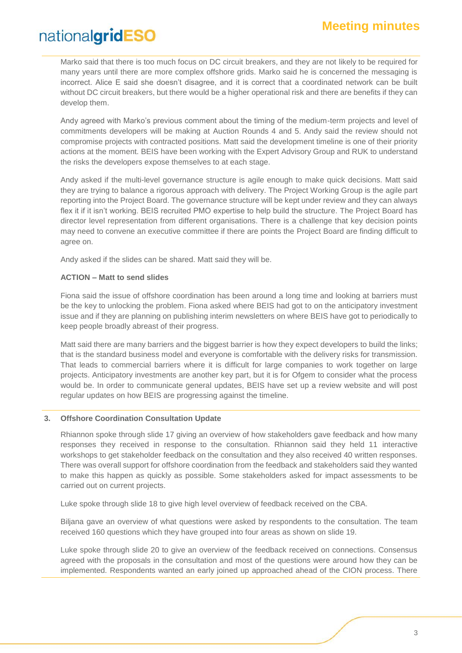Marko said that there is too much focus on DC circuit breakers, and they are not likely to be required for many years until there are more complex offshore grids. Marko said he is concerned the messaging is incorrect. Alice E said she doesn't disagree, and it is correct that a coordinated network can be built without DC circuit breakers, but there would be a higher operational risk and there are benefits if they can develop them.

Andy agreed with Marko's previous comment about the timing of the medium-term projects and level of commitments developers will be making at Auction Rounds 4 and 5. Andy said the review should not compromise projects with contracted positions. Matt said the development timeline is one of their priority actions at the moment. BEIS have been working with the Expert Advisory Group and RUK to understand the risks the developers expose themselves to at each stage.

Andy asked if the multi-level governance structure is agile enough to make quick decisions. Matt said they are trying to balance a rigorous approach with delivery. The Project Working Group is the agile part reporting into the Project Board. The governance structure will be kept under review and they can always flex it if it isn't working. BEIS recruited PMO expertise to help build the structure. The Project Board has director level representation from different organisations. There is a challenge that key decision points may need to convene an executive committee if there are points the Project Board are finding difficult to agree on.

Andy asked if the slides can be shared. Matt said they will be.

#### **ACTION – Matt to send slides**

Fiona said the issue of offshore coordination has been around a long time and looking at barriers must be the key to unlocking the problem. Fiona asked where BEIS had got to on the anticipatory investment issue and if they are planning on publishing interim newsletters on where BEIS have got to periodically to keep people broadly abreast of their progress.

Matt said there are many barriers and the biggest barrier is how they expect developers to build the links; that is the standard business model and everyone is comfortable with the delivery risks for transmission. That leads to commercial barriers where it is difficult for large companies to work together on large projects. Anticipatory investments are another key part, but it is for Ofgem to consider what the process would be. In order to communicate general updates, BEIS have set up a review website and will post regular updates on how BEIS are progressing against the timeline.

#### **3. Offshore Coordination Consultation Update**

Rhiannon spoke through slide 17 giving an overview of how stakeholders gave feedback and how many responses they received in response to the consultation. Rhiannon said they held 11 interactive workshops to get stakeholder feedback on the consultation and they also received 40 written responses. There was overall support for offshore coordination from the feedback and stakeholders said they wanted to make this happen as quickly as possible. Some stakeholders asked for impact assessments to be carried out on current projects.

Luke spoke through slide 18 to give high level overview of feedback received on the CBA.

Biljana gave an overview of what questions were asked by respondents to the consultation. The team received 160 questions which they have grouped into four areas as shown on slide 19.

Luke spoke through slide 20 to give an overview of the feedback received on connections. Consensus agreed with the proposals in the consultation and most of the questions were around how they can be implemented. Respondents wanted an early joined up approached ahead of the CION process. There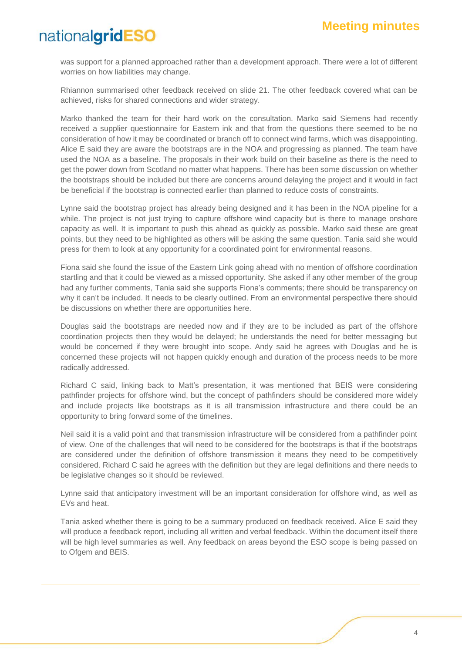was support for a planned approached rather than a development approach. There were a lot of different worries on how liabilities may change.

Rhiannon summarised other feedback received on slide 21. The other feedback covered what can be achieved, risks for shared connections and wider strategy.

Marko thanked the team for their hard work on the consultation. Marko said Siemens had recently received a supplier questionnaire for Eastern ink and that from the questions there seemed to be no consideration of how it may be coordinated or branch off to connect wind farms, which was disappointing. Alice E said they are aware the bootstraps are in the NOA and progressing as planned. The team have used the NOA as a baseline. The proposals in their work build on their baseline as there is the need to get the power down from Scotland no matter what happens. There has been some discussion on whether the bootstraps should be included but there are concerns around delaying the project and it would in fact be beneficial if the bootstrap is connected earlier than planned to reduce costs of constraints.

Lynne said the bootstrap project has already being designed and it has been in the NOA pipeline for a while. The project is not just trying to capture offshore wind capacity but is there to manage onshore capacity as well. It is important to push this ahead as quickly as possible. Marko said these are great points, but they need to be highlighted as others will be asking the same question. Tania said she would press for them to look at any opportunity for a coordinated point for environmental reasons.

Fiona said she found the issue of the Eastern Link going ahead with no mention of offshore coordination startling and that it could be viewed as a missed opportunity. She asked if any other member of the group had any further comments, Tania said she supports Fiona's comments; there should be transparency on why it can't be included. It needs to be clearly outlined. From an environmental perspective there should be discussions on whether there are opportunities here.

Douglas said the bootstraps are needed now and if they are to be included as part of the offshore coordination projects then they would be delayed; he understands the need for better messaging but would be concerned if they were brought into scope. Andy said he agrees with Douglas and he is concerned these projects will not happen quickly enough and duration of the process needs to be more radically addressed.

Richard C said, linking back to Matt's presentation, it was mentioned that BEIS were considering pathfinder projects for offshore wind, but the concept of pathfinders should be considered more widely and include projects like bootstraps as it is all transmission infrastructure and there could be an opportunity to bring forward some of the timelines.

Neil said it is a valid point and that transmission infrastructure will be considered from a pathfinder point of view. One of the challenges that will need to be considered for the bootstraps is that if the bootstraps are considered under the definition of offshore transmission it means they need to be competitively considered. Richard C said he agrees with the definition but they are legal definitions and there needs to be legislative changes so it should be reviewed.

Lynne said that anticipatory investment will be an important consideration for offshore wind, as well as EVs and heat.

Tania asked whether there is going to be a summary produced on feedback received. Alice E said they will produce a feedback report, including all written and verbal feedback. Within the document itself there will be high level summaries as well. Any feedback on areas beyond the ESO scope is being passed on to Ofgem and BEIS.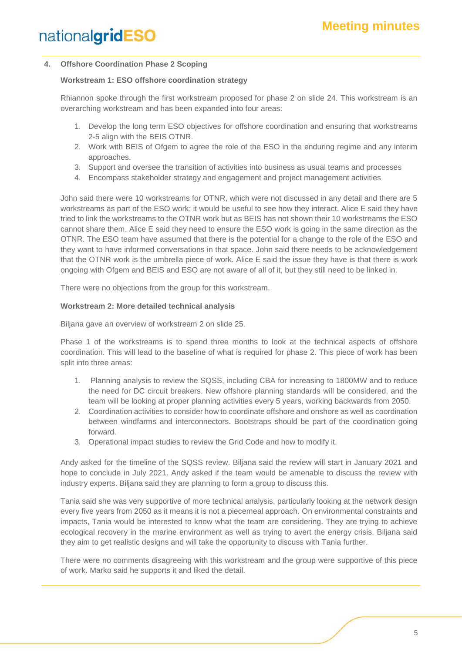#### **4. Offshore Coordination Phase 2 Scoping**

#### **Workstream 1: ESO offshore coordination strategy**

Rhiannon spoke through the first workstream proposed for phase 2 on slide 24. This workstream is an overarching workstream and has been expanded into four areas:

- 1. Develop the long term ESO objectives for offshore coordination and ensuring that workstreams 2-5 align with the BEIS OTNR.
- 2. Work with BEIS of Ofgem to agree the role of the ESO in the enduring regime and any interim approaches.
- 3. Support and oversee the transition of activities into business as usual teams and processes
- 4. Encompass stakeholder strategy and engagement and project management activities

John said there were 10 workstreams for OTNR, which were not discussed in any detail and there are 5 workstreams as part of the ESO work; it would be useful to see how they interact. Alice E said they have tried to link the workstreams to the OTNR work but as BEIS has not shown their 10 workstreams the ESO cannot share them. Alice E said they need to ensure the ESO work is going in the same direction as the OTNR. The ESO team have assumed that there is the potential for a change to the role of the ESO and they want to have informed conversations in that space. John said there needs to be acknowledgement that the OTNR work is the umbrella piece of work. Alice E said the issue they have is that there is work ongoing with Ofgem and BEIS and ESO are not aware of all of it, but they still need to be linked in.

There were no objections from the group for this workstream.

#### **Workstream 2: More detailed technical analysis**

Biljana gave an overview of workstream 2 on slide 25.

Phase 1 of the workstreams is to spend three months to look at the technical aspects of offshore coordination. This will lead to the baseline of what is required for phase 2. This piece of work has been split into three areas:

- 1. Planning analysis to review the SQSS, including CBA for increasing to 1800MW and to reduce the need for DC circuit breakers. New offshore planning standards will be considered, and the team will be looking at proper planning activities every 5 years, working backwards from 2050.
- 2. Coordination activities to consider how to coordinate offshore and onshore as well as coordination between windfarms and interconnectors. Bootstraps should be part of the coordination going forward.
- 3. Operational impact studies to review the Grid Code and how to modify it.

Andy asked for the timeline of the SQSS review. Biljana said the review will start in January 2021 and hope to conclude in July 2021. Andy asked if the team would be amenable to discuss the review with industry experts. Biljana said they are planning to form a group to discuss this.

Tania said she was very supportive of more technical analysis, particularly looking at the network design every five years from 2050 as it means it is not a piecemeal approach. On environmental constraints and impacts, Tania would be interested to know what the team are considering. They are trying to achieve ecological recovery in the marine environment as well as trying to avert the energy crisis. Biljana said they aim to get realistic designs and will take the opportunity to discuss with Tania further.

There were no comments disagreeing with this workstream and the group were supportive of this piece of work. Marko said he supports it and liked the detail.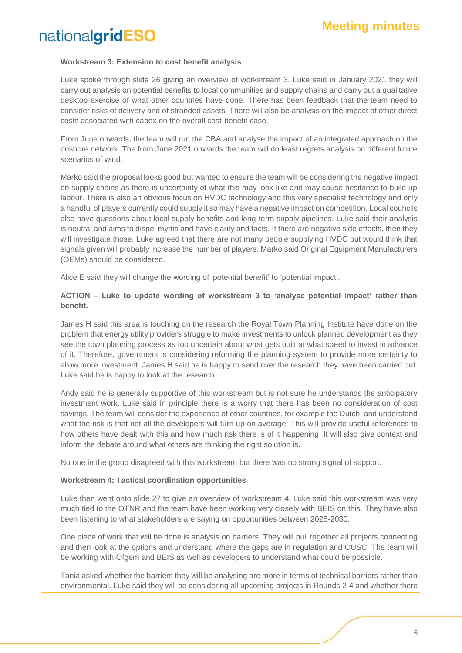#### **Workstream 3: Extension to cost benefit analysis**

Luke spoke through slide 26 giving an overview of workstream 3. Luke said in January 2021 they will carry out analysis on potential benefits to local communities and supply chains and carry out a qualitative desktop exercise of what other countries have done. There has been feedback that the team need to consider risks of delivery and of stranded assets. There will also be analysis on the impact of other direct costs associated with capex on the overall cost-benefit case.

From June onwards, the team will run the CBA and analyse the impact of an integrated approach on the onshore network. The from June 2021 onwards the team will do least regrets analysis on different future scenarios of wind.

Marko said the proposal looks good but wanted to ensure the team will be considering the negative impact on supply chains as there is uncertainty of what this may look like and may cause hesitance to build up labour. There is also an obvious focus on HVDC technology and this very specialist technology and only a handful of players currently could supply it so may have a negative impact on competition. Local councils also have questions about local supply benefits and long-term supply pipelines. Luke said their analysis is neutral and aims to dispel myths and have clarity and facts. If there are negative side effects, then they will investigate those. Luke agreed that there are not many people supplying HVDC but would think that signals given will probably increase the number of players. Marko said Original Equipment Manufacturers (OEMs) should be considered.

Alice E said they will change the wording of 'potential benefit' to 'potential impact'.

#### **ACTION – Luke to update wording of workstream 3 to 'analyse potential impact' rather than benefit.**

James H said this area is touching on the research the Royal Town Planning Institute have done on the problem that energy utility providers struggle to make investments to unlock planned development as they see the town planning process as too uncertain about what gets built at what speed to invest in advance of it. Therefore, government is considering reforming the planning system to provide more certainty to allow more investment. James H said he is happy to send over the research they have been carried out. Luke said he is happy to look at the research.

Andy said he is generally supportive of this workstream but is not sure he understands the anticipatory investment work. Luke said in principle there is a worry that there has been no consideration of cost savings. The team will consider the experience of other countries, for example the Dutch, and understand what the risk is that not all the developers will turn up on average. This will provide useful references to how others have dealt with this and how much risk there is of it happening. It will also give context and inform the debate around what others are thinking the right solution is.

No one in the group disagreed with this workstream but there was no strong signal of support.

#### **Workstream 4: Tactical coordination opportunities**

Luke then went onto slide 27 to give an overview of workstream 4. Luke said this workstream was very much tied to the OTNR and the team have been working very closely with BEIS on this. They have also been listening to what stakeholders are saying on opportunities between 2025-2030.

One piece of work that will be done is analysis on barriers. They will pull together all projects connecting and then look at the options and understand where the gaps are in regulation and CUSC. The team will be working with Ofgem and BEIS as well as developers to understand what could be possible.

Tania asked whether the barriers they will be analysing are more in terms of technical barriers rather than environmental. Luke said they will be considering all upcoming projects in Rounds 2-4 and whether there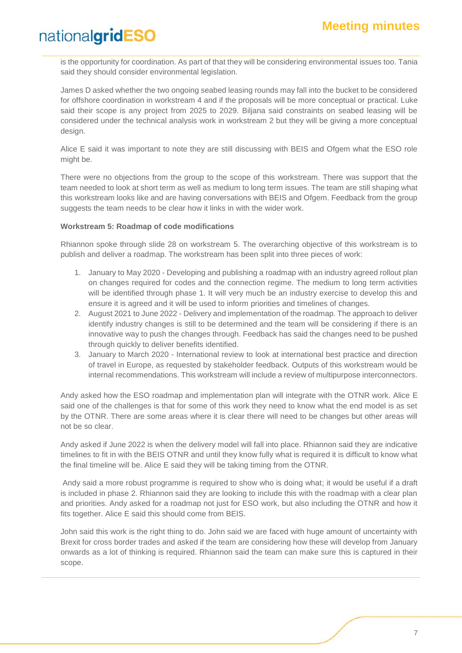is the opportunity for coordination. As part of that they will be considering environmental issues too. Tania said they should consider environmental legislation.

James D asked whether the two ongoing seabed leasing rounds may fall into the bucket to be considered for offshore coordination in workstream 4 and if the proposals will be more conceptual or practical. Luke said their scope is any project from 2025 to 2029. Biljana said constraints on seabed leasing will be considered under the technical analysis work in workstream 2 but they will be giving a more conceptual design.

Alice E said it was important to note they are still discussing with BEIS and Ofgem what the ESO role might be.

There were no objections from the group to the scope of this workstream. There was support that the team needed to look at short term as well as medium to long term issues. The team are still shaping what this workstream looks like and are having conversations with BEIS and Ofgem. Feedback from the group suggests the team needs to be clear how it links in with the wider work.

#### **Workstream 5: Roadmap of code modifications**

Rhiannon spoke through slide 28 on workstream 5. The overarching objective of this workstream is to publish and deliver a roadmap. The workstream has been split into three pieces of work:

- 1. January to May 2020 Developing and publishing a roadmap with an industry agreed rollout plan on changes required for codes and the connection regime. The medium to long term activities will be identified through phase 1. It will very much be an industry exercise to develop this and ensure it is agreed and it will be used to inform priorities and timelines of changes.
- 2. August 2021 to June 2022 Delivery and implementation of the roadmap. The approach to deliver identify industry changes is still to be determined and the team will be considering if there is an innovative way to push the changes through. Feedback has said the changes need to be pushed through quickly to deliver benefits identified.
- 3. January to March 2020 International review to look at international best practice and direction of travel in Europe, as requested by stakeholder feedback. Outputs of this workstream would be internal recommendations. This workstream will include a review of multipurpose interconnectors.

Andy asked how the ESO roadmap and implementation plan will integrate with the OTNR work. Alice E said one of the challenges is that for some of this work they need to know what the end model is as set by the OTNR. There are some areas where it is clear there will need to be changes but other areas will not be so clear.

Andy asked if June 2022 is when the delivery model will fall into place. Rhiannon said they are indicative timelines to fit in with the BEIS OTNR and until they know fully what is required it is difficult to know what the final timeline will be. Alice E said they will be taking timing from the OTNR.

Andy said a more robust programme is required to show who is doing what; it would be useful if a draft is included in phase 2. Rhiannon said they are looking to include this with the roadmap with a clear plan and priorities. Andy asked for a roadmap not just for ESO work, but also including the OTNR and how it fits together. Alice E said this should come from BEIS.

John said this work is the right thing to do. John said we are faced with huge amount of uncertainty with Brexit for cross border trades and asked if the team are considering how these will develop from January onwards as a lot of thinking is required. Rhiannon said the team can make sure this is captured in their scope.